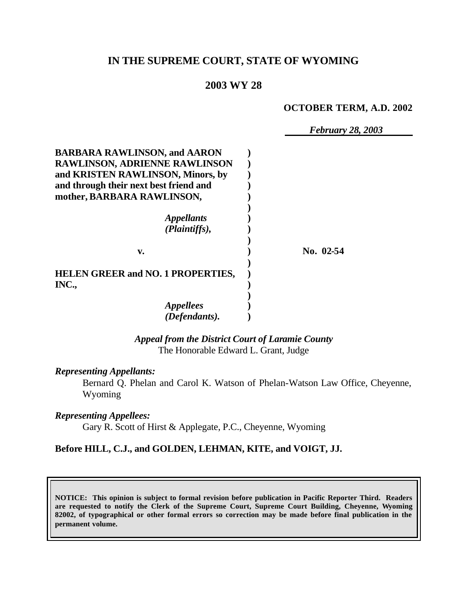# **IN THE SUPREME COURT, STATE OF WYOMING**

### **2003 WY 28**

#### **OCTOBER TERM, A.D. 2002**

 *February 28, 2003* **BARBARA RAWLINSON, and AARON ) RAWLINSON, ADRIENNE RAWLINSON ) and KRISTEN RAWLINSON, Minors, by ) and through their next best friend and ) mother, BARBARA RAWLINSON, ) )** *Appellants* **)** *(Plaintiffs),* **) ) v. ) No. 02-54 ) HELEN GREER and NO. 1 PROPERTIES, ) INC., ) )** *Appellees* **)** *(Defendants).* **)**

> *Appeal from the District Court of Laramie County* The Honorable Edward L. Grant, Judge

*Representing Appellants:*

Bernard Q. Phelan and Carol K. Watson of Phelan-Watson Law Office, Cheyenne, Wyoming

*Representing Appellees:*

Gary R. Scott of Hirst & Applegate, P.C., Cheyenne, Wyoming

#### **Before HILL, C.J., and GOLDEN, LEHMAN, KITE, and VOIGT, JJ.**

**NOTICE: This opinion is subject to formal revision before publication in Pacific Reporter Third. Readers are requested to notify the Clerk of the Supreme Court, Supreme Court Building, Cheyenne, Wyoming 82002, of typographical or other formal errors so correction may be made before final publication in the permanent volume.**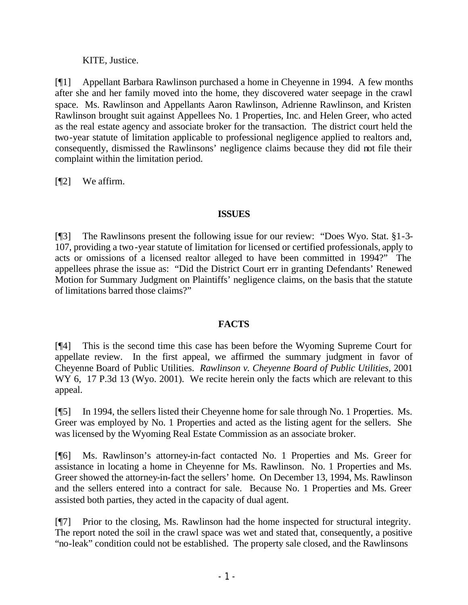KITE, Justice.

[¶1] Appellant Barbara Rawlinson purchased a home in Cheyenne in 1994. A few months after she and her family moved into the home, they discovered water seepage in the crawl space. Ms. Rawlinson and Appellants Aaron Rawlinson, Adrienne Rawlinson, and Kristen Rawlinson brought suit against Appellees No. 1 Properties, Inc. and Helen Greer, who acted as the real estate agency and associate broker for the transaction. The district court held the two-year statute of limitation applicable to professional negligence applied to realtors and, consequently, dismissed the Rawlinsons' negligence claims because they did not file their complaint within the limitation period.

[¶2] We affirm.

## **ISSUES**

[¶3] The Rawlinsons present the following issue for our review: "Does Wyo. Stat. §1-3- 107, providing a two-year statute of limitation for licensed or certified professionals, apply to acts or omissions of a licensed realtor alleged to have been committed in 1994?" The appellees phrase the issue as: "Did the District Court err in granting Defendants' Renewed Motion for Summary Judgment on Plaintiffs' negligence claims, on the basis that the statute of limitations barred those claims?"

## **FACTS**

[¶4] This is the second time this case has been before the Wyoming Supreme Court for appellate review. In the first appeal, we affirmed the summary judgment in favor of Cheyenne Board of Public Utilities. *Rawlinson v. Cheyenne Board of Public Utilities,* 2001 WY 6, 17 P.3d 13 (Wyo. 2001). We recite herein only the facts which are relevant to this appeal.

[¶5] In 1994, the sellers listed their Cheyenne home for sale through No. 1 Properties. Ms. Greer was employed by No. 1 Properties and acted as the listing agent for the sellers. She was licensed by the Wyoming Real Estate Commission as an associate broker.

[¶6] Ms. Rawlinson's attorney-in-fact contacted No. 1 Properties and Ms. Greer for assistance in locating a home in Cheyenne for Ms. Rawlinson. No. 1 Properties and Ms. Greer showed the attorney-in-fact the sellers' home. On December 13, 1994, Ms. Rawlinson and the sellers entered into a contract for sale. Because No. 1 Properties and Ms. Greer assisted both parties, they acted in the capacity of dual agent.

[¶7] Prior to the closing, Ms. Rawlinson had the home inspected for structural integrity. The report noted the soil in the crawl space was wet and stated that, consequently, a positive "no-leak" condition could not be established. The property sale closed, and the Rawlinsons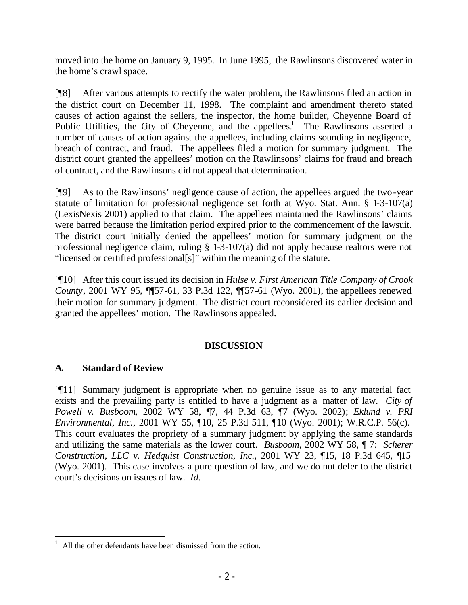moved into the home on January 9, 1995. In June 1995, the Rawlinsons discovered water in the home's crawl space.

[¶8] After various attempts to rectify the water problem, the Rawlinsons filed an action in the district court on December 11, 1998. The complaint and amendment thereto stated causes of action against the sellers, the inspector, the home builder, Cheyenne Board of Public Utilities, the Gty of Cheyenne, and the appellees.<sup>1</sup> The Rawlinsons asserted a number of causes of action against the appellees, including claims sounding in negligence, breach of contract, and fraud. The appellees filed a motion for summary judgment. The district court granted the appellees' motion on the Rawlinsons' claims for fraud and breach of contract, and the Rawlinsons did not appeal that determination.

[¶9] As to the Rawlinsons' negligence cause of action, the appellees argued the two-year statute of limitation for professional negligence set forth at Wyo. Stat. Ann. § 1-3-107(a) (LexisNexis 2001) applied to that claim. The appellees maintained the Rawlinsons' claims were barred because the limitation period expired prior to the commencement of the lawsuit. The district court initially denied the appellees' motion for summary judgment on the professional negligence claim, ruling § 1-3-107(a) did not apply because realtors were not "licensed or certified professional[s]" within the meaning of the statute.

[¶10] After this court issued its decision in *Hulse v. First American Title Company of Crook County*, 2001 WY 95, ¶¶57-61, 33 P.3d 122, ¶¶57-61 (Wyo. 2001), the appellees renewed their motion for summary judgment. The district court reconsidered its earlier decision and granted the appellees' motion. The Rawlinsons appealed.

## **DISCUSSION**

## **A. Standard of Review**

[¶11] Summary judgment is appropriate when no genuine issue as to any material fact exists and the prevailing party is entitled to have a judgment as a matter of law. *City of Powell v. Busboom*, 2002 WY 58, ¶7, 44 P.3d 63, ¶7 (Wyo. 2002); *Eklund v. PRI Environmental, Inc.*, 2001 WY 55, ¶10, 25 P.3d 511, ¶10 (Wyo. 2001); W.R.C.P. 56(c). This court evaluates the propriety of a summary judgment by applying the same standards and utilizing the same materials as the lower court. *Busboom,* 2002 WY 58, ¶ 7; *Scherer Construction, LLC v. Hedquist Construction, Inc.*, 2001 WY 23, ¶15, 18 P.3d 645, ¶15 (Wyo. 2001). This case involves a pure question of law, and we do not defer to the district court's decisions on issues of law. *Id.*

<sup>1</sup> All the other defendants have been dismissed from the action.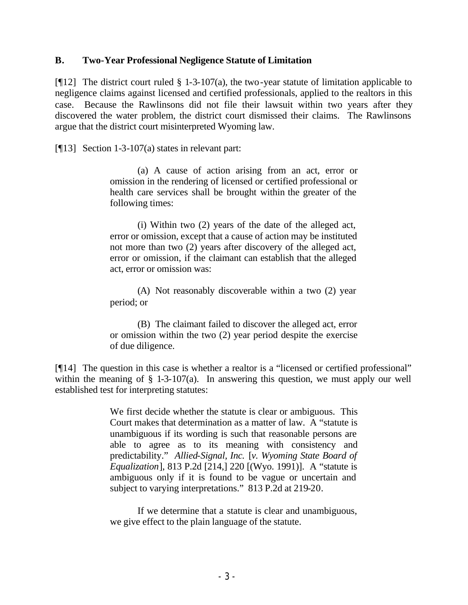### **B. Two-Year Professional Negligence Statute of Limitation**

[ $[12]$ ] The district court ruled  $\S$  1-3-107(a), the two-year statute of limitation applicable to negligence claims against licensed and certified professionals, applied to the realtors in this case. Because the Rawlinsons did not file their lawsuit within two years after they discovered the water problem, the district court dismissed their claims. The Rawlinsons argue that the district court misinterpreted Wyoming law.

[¶13] Section 1-3-107(a) states in relevant part:

(a) A cause of action arising from an act, error or omission in the rendering of licensed or certified professional or health care services shall be brought within the greater of the following times:

(i) Within two (2) years of the date of the alleged act, error or omission, except that a cause of action may be instituted not more than two (2) years after discovery of the alleged act, error or omission, if the claimant can establish that the alleged act, error or omission was:

(A) Not reasonably discoverable within a two (2) year period; or

(B) The claimant failed to discover the alleged act, error or omission within the two (2) year period despite the exercise of due diligence.

[¶14] The question in this case is whether a realtor is a "licensed or certified professional" within the meaning of  $\S$  1-3-107(a). In answering this question, we must apply our well established test for interpreting statutes:

> We first decide whether the statute is clear or ambiguous. This Court makes that determination as a matter of law. A "statute is unambiguous if its wording is such that reasonable persons are able to agree as to its meaning with consistency and predictability." *Allied-Signal, Inc.* [*v. Wyoming State Board of Equalization*], 813 P.2d [214,] 220 [(Wyo. 1991)]. A "statute is ambiguous only if it is found to be vague or uncertain and subject to varying interpretations." 813 P.2d at 219-20.

> If we determine that a statute is clear and unambiguous, we give effect to the plain language of the statute.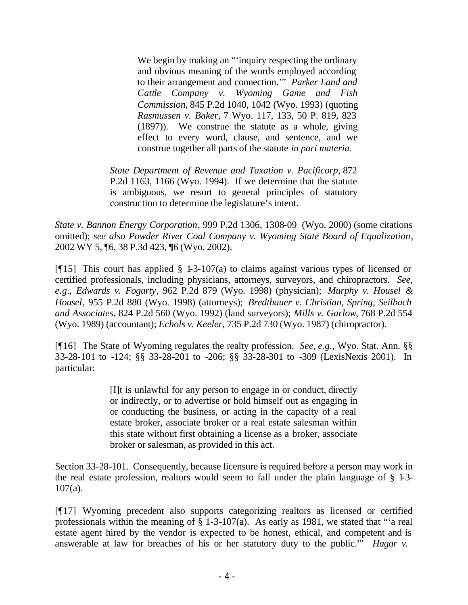We begin by making an "'inquiry respecting the ordinary and obvious meaning of the words employed according to their arrangement and connection.'" *Parker Land and Cattle Company v. Wyoming Game and Fish Commission,* 845 P.2d 1040, 1042 (Wyo. 1993) (quoting *Rasmussen v. Baker,* 7 Wyo. 117, 133, 50 P. 819, 823 (1897)). We construe the statute as a whole, giving effect to every word, clause, and sentence, and we construe together all parts of the statute *in pari materia.*

*State Department of Revenue and Taxation v. Pacificorp,* 872 P.2d 1163, 1166 (Wyo. 1994). If we determine that the statute is ambiguous, we resort to general principles of statutory construction to determine the legislature's intent.

*State v. Bannon Energy Corporation*, 999 P.2d 1306, 1308-09 (Wyo. 2000) (some citations omitted); *see also Powder River Coal Company v. Wyoming State Board of Equalization*, 2002 WY 5, ¶6, 38 P.3d 423, ¶6 (Wyo. 2002).

[ $[15]$ ] This court has applied § 1-3-107(a) to claims against various types of licensed or certified professionals, including physicians, attorneys, surveyors, and chiropractors. *See, e.g.*, *Edwards v. Fogarty*, 962 P.2d 879 (Wyo. 1998) (physician); *Murphy v. Housel & Housel*, 955 P.2d 880 (Wyo. 1998) (attorneys); *Bredthauer v. Christian, Spring, Seilbach and Associates*, 824 P.2d 560 (Wyo. 1992) (land surveyors); *Mills v. Garlow*, 768 P.2d 554 (Wyo. 1989) (accountant); *Echols v. Keeler,* 735 P.2d 730 (Wyo. 1987) (chiropractor).

[¶16] The State of Wyoming regulates the realty profession. *See, e.g.,* Wyo. Stat. Ann. §§ 33-28-101 to -124; §§ 33-28-201 to -206; §§ 33-28-301 to -309 (LexisNexis 2001). In particular:

> [I]t is unlawful for any person to engage in or conduct, directly or indirectly, or to advertise or hold himself out as engaging in or conducting the business, or acting in the capacity of a real estate broker, associate broker or a real estate salesman within this state without first obtaining a license as a broker, associate broker or salesman, as provided in this act.

Section 33-28-101. Consequently, because licensure is required before a person may work in the real estate profession, realtors would seem to fall under the plain language of § 1-3-  $107(a)$ .

[¶17] Wyoming precedent also supports categorizing realtors as licensed or certified professionals within the meaning of  $\S$  1-3-107(a). As early as 1981, we stated that "'a real estate agent hired by the vendor is expected to be honest, ethical, and competent and is answerable at law for breaches of his or her statutory duty to the public.'" *Hagar v.*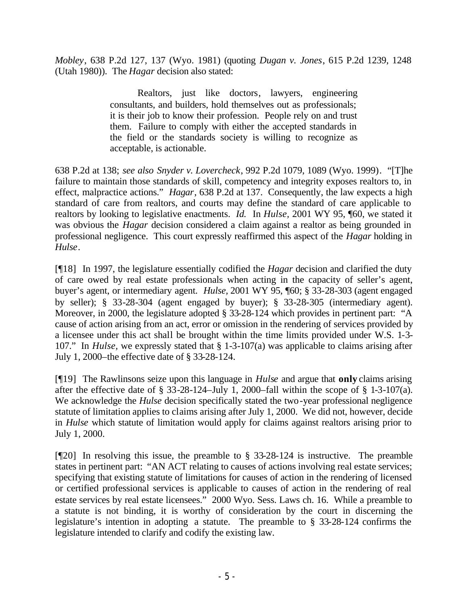*Mobley*, 638 P.2d 127, 137 (Wyo. 1981) (quoting *Dugan v. Jones*, 615 P.2d 1239, 1248 (Utah 1980)). The *Hagar* decision also stated:

> Realtors, just like doctors, lawyers, engineering consultants, and builders, hold themselves out as professionals; it is their job to know their profession. People rely on and trust them. Failure to comply with either the accepted standards in the field or the standards society is willing to recognize as acceptable, is actionable.

638 P.2d at 138; *see also Snyder v. Lovercheck*, 992 P.2d 1079, 1089 (Wyo. 1999). "[T]he failure to maintain those standards of skill, competency and integrity exposes realtors to, in effect, malpractice actions." *Hagar*, 638 P.2d at 137. Consequently, the law expects a high standard of care from realtors, and courts may define the standard of care applicable to realtors by looking to legislative enactments. *Id.* In *Hulse,* 2001 WY 95, ¶60, we stated it was obvious the *Hagar* decision considered a claim against a realtor as being grounded in professional negligence. This court expressly reaffirmed this aspect of the *Hagar* holding in *Hulse*.

[¶18] In 1997, the legislature essentially codified the *Hagar* decision and clarified the duty of care owed by real estate professionals when acting in the capacity of seller's agent, buyer's agent, or intermediary agent. *Hulse,* 2001 WY 95, ¶60; § 33-28-303 (agent engaged by seller); § 33-28-304 (agent engaged by buyer); § 33-28-305 (intermediary agent). Moreover, in 2000, the legislature adopted § 33-28-124 which provides in pertinent part: "A cause of action arising from an act, error or omission in the rendering of services provided by a licensee under this act shall be brought within the time limits provided under W.S. 1-3- 107." In *Hulse,* we expressly stated that § 1-3-107(a) was applicable to claims arising after July 1, 2000–the effective date of § 33-28-124.

[¶19] The Rawlinsons seize upon this language in *Hulse* and argue that **only** claims arising after the effective date of § 33-28-124–July 1, 2000–fall within the scope of § 1-3-107(a). We acknowledge the *Hulse* decision specifically stated the two-year professional negligence statute of limitation applies to claims arising after July 1, 2000. We did not, however, decide in *Hulse* which statute of limitation would apply for claims against realtors arising prior to July 1, 2000.

[¶20] In resolving this issue, the preamble to § 33-28-124 is instructive. The preamble states in pertinent part: "AN ACT relating to causes of actions involving real estate services; specifying that existing statute of limitations for causes of action in the rendering of licensed or certified professional services is applicable to causes of action in the rendering of real estate services by real estate licensees." 2000 Wyo. Sess. Laws ch. 16. While a preamble to a statute is not binding, it is worthy of consideration by the court in discerning the legislature's intention in adopting a statute. The preamble to § 33-28-124 confirms the legislature intended to clarify and codify the existing law.